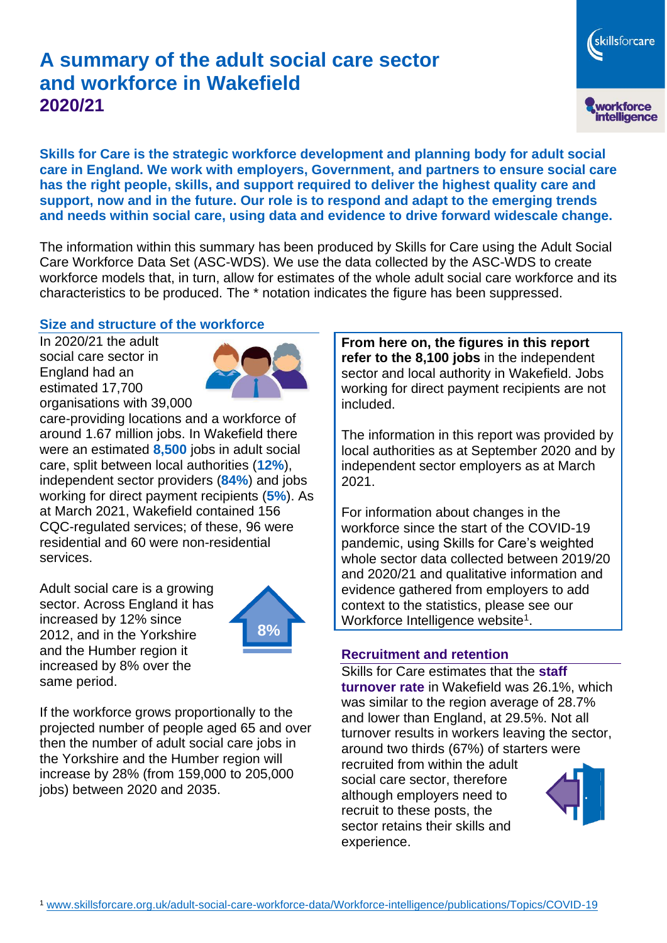# **A summary of the adult social care sector and workforce in Wakefield 2020/21**

**Skills for Care is the strategic workforce development and planning body for adult social care in England. We work with employers, Government, and partners to ensure social care has the right people, skills, and support required to deliver the highest quality care and support, now and in the future. Our role is to respond and adapt to the emerging trends and needs within social care, using data and evidence to drive forward widescale change.**

The information within this summary has been produced by Skills for Care using the Adult Social Care Workforce Data Set (ASC-WDS). We use the data collected by the ASC-WDS to create workforce models that, in turn, allow for estimates of the whole adult social care workforce and its characteristics to be produced. The \* notation indicates the figure has been suppressed.

#### **Size and structure of the workforce**

In 2020/21 the adult social care sector in England had an estimated 17,700 organisations with 39,000



care-providing locations and a workforce of around 1.67 million jobs. In Wakefield there were an estimated **8,500** jobs in adult social care, split between local authorities (**12%**), independent sector providers (**84%**) and jobs working for direct payment recipients (**5%**). As at March 2021, Wakefield contained 156 CQC-regulated services; of these, 96 were residential and 60 were non-residential services.

Adult social care is a growing sector. Across England it has increased by 12% since 2012, and in the Yorkshire and the Humber region it increased by 8% over the same period.



If the workforce grows proportionally to the projected number of people aged 65 and over then the number of adult social care jobs in the Yorkshire and the Humber region will increase by 28% (from 159,000 to 205,000 jobs) between 2020 and 2035.

**From here on, the figures in this report refer to the 8,100 jobs** in the independent sector and local authority in Wakefield. Jobs working for direct payment recipients are not included.

skillsforcare

workforce<br>intelligence

The information in this report was provided by local authorities as at September 2020 and by independent sector employers as at March 2021.

For information about changes in the workforce since the start of the COVID-19 pandemic, using Skills for Care's weighted whole sector data collected between 2019/20 and 2020/21 and qualitative information and evidence gathered from employers to add context to the statistics, please see our Workforce Intelligence website<sup>1</sup>.

#### **Recruitment and retention**

Skills for Care estimates that the **staff turnover rate** in Wakefield was 26.1%, which was similar to the region average of 28.7% and lower than England, at 29.5%. Not all turnover results in workers leaving the sector, around two thirds (67%) of starters were recruited from within the adult social care sector, therefore although employers need to recruit to these posts, the sector retains their skills and experience.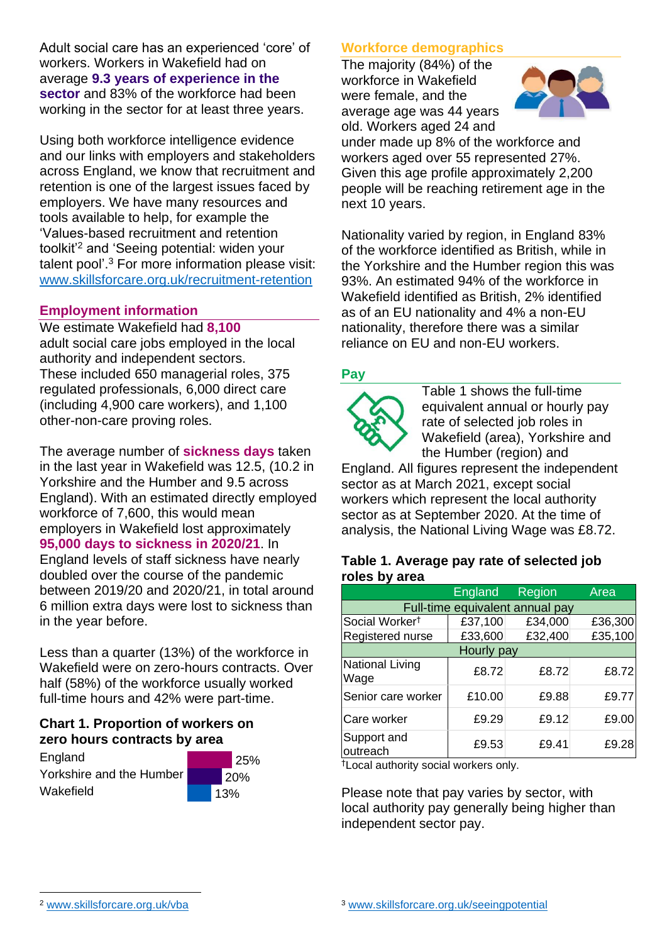Adult social care has an experienced 'core' of workers. Workers in Wakefield had on average **9.3 years of experience in the sector** and 83% of the workforce had been working in the sector for at least three years.

Using both workforce intelligence evidence and our links with employers and stakeholders across England, we know that recruitment and retention is one of the largest issues faced by employers. We have many resources and tools available to help, for example the 'Values-based recruitment and retention toolkit'<sup>2</sup> and 'Seeing potential: widen your talent pool'. <sup>3</sup> For more information please visit: [www.skillsforcare.org.uk/recruitment-retention](http://www.skillsforcare.org.uk/recruitment-retention)

#### **Employment information**

We estimate Wakefield had **8,100** adult social care jobs employed in the local authority and independent sectors. These included 650 managerial roles, 375 regulated professionals, 6,000 direct care (including 4,900 care workers), and 1,100 other-non-care proving roles.

The average number of **sickness days** taken in the last year in Wakefield was 12.5, (10.2 in Yorkshire and the Humber and 9.5 across England). With an estimated directly employed workforce of 7,600, this would mean employers in Wakefield lost approximately **95,000 days to sickness in 2020/21**. In England levels of staff sickness have nearly doubled over the course of the pandemic between 2019/20 and 2020/21, in total around 6 million extra days were lost to sickness than in the year before.

Less than a quarter (13%) of the workforce in Wakefield were on zero-hours contracts. Over half (58%) of the workforce usually worked full-time hours and 42% were part-time.

### **Chart 1. Proportion of workers on zero hours contracts by area**

**England** Yorkshire and the Humber Wakefield



### **Workforce demographics**

The majority (84%) of the workforce in Wakefield were female, and the average age was 44 years old. Workers aged 24 and



under made up 8% of the workforce and workers aged over 55 represented 27%. Given this age profile approximately 2,200 people will be reaching retirement age in the next 10 years.

Nationality varied by region, in England 83% of the workforce identified as British, while in the Yorkshire and the Humber region this was 93%. An estimated 94% of the workforce in Wakefield identified as British, 2% identified as of an EU nationality and 4% a non-EU nationality, therefore there was a similar reliance on EU and non-EU workers.

### **Pay**



Table 1 shows the full-time equivalent annual or hourly pay rate of selected job roles in Wakefield (area), Yorkshire and the Humber (region) and

England. All figures represent the independent sector as at March 2021, except social workers which represent the local authority sector as at September 2020. At the time of analysis, the National Living Wage was £8.72.

#### **Table 1. Average pay rate of selected job roles by area**

|                                 | <b>England</b> | Region  | Area    |
|---------------------------------|----------------|---------|---------|
| Full-time equivalent annual pay |                |         |         |
| Social Worker <sup>t</sup>      | £37,100        | £34,000 | £36,300 |
| Registered nurse                | £33,600        | £32,400 | £35,100 |
| Hourly pay                      |                |         |         |
| National Living<br>Wage         | £8.72          | £8.72   | £8.72   |
| Senior care worker              | £10.00         | £9.88   | £9.77   |
| Care worker                     | £9.29          | £9.12   | £9.00   |
| Support and<br>outreach         | £9.53          | £9.41   | £9.28   |

†Local authority social workers only.

Please note that pay varies by sector, with local authority pay generally being higher than independent sector pay.